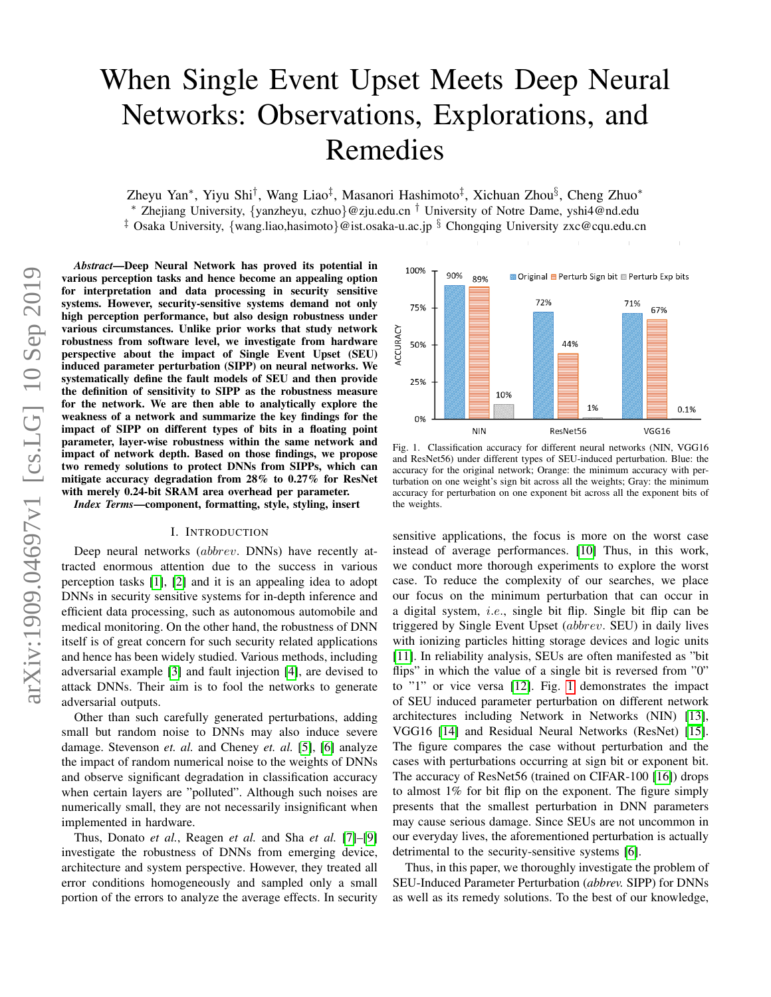# When Single Event Upset Meets Deep Neural Networks: Observations, Explorations, and Remedies

Zheyu Yan\*, Yiyu Shi<sup>†</sup>, Wang Liao<sup>‡</sup>, Masanori Hashimoto<sup>‡</sup>, Xichuan Zhou<sup>§</sup>, Cheng Zhuo\*

<sup>∗</sup> Zhejiang University, {yanzheyu, czhuo}@zju.edu.cn † University of Notre Dame, yshi4@nd.edu

<sup>‡</sup> Osaka University, {wang.liao,hasimoto}@ist.osaka-u.ac.jp § Chongqing University zxc@cqu.edu.cn

*Abstract*—Deep Neural Network has proved its potential in various perception tasks and hence become an appealing option for interpretation and data processing in security sensitive systems. However, security-sensitive systems demand not only high perception performance, but also design robustness under various circumstances. Unlike prior works that study network robustness from software level, we investigate from hardware perspective about the impact of Single Event Upset (SEU) induced parameter perturbation (SIPP) on neural networks. We systematically define the fault models of SEU and then provide the definition of sensitivity to SIPP as the robustness measure for the network. We are then able to analytically explore the weakness of a network and summarize the key findings for the impact of SIPP on different types of bits in a floating point parameter, layer-wise robustness within the same network and impact of network depth. Based on those findings, we propose two remedy solutions to protect DNNs from SIPPs, which can mitigate accuracy degradation from 28% to 0.27% for ResNet with merely 0.24-bit SRAM area overhead per parameter.

*Index Terms*—component, formatting, style, styling, insert

# I. INTRODUCTION

Deep neural networks *(abbrev.* DNNs) have recently attracted enormous attention due to the success in various perception tasks [\[1\]](#page-6-0), [\[2\]](#page-6-1) and it is an appealing idea to adopt DNNs in security sensitive systems for in-depth inference and efficient data processing, such as autonomous automobile and medical monitoring. On the other hand, the robustness of DNN itself is of great concern for such security related applications and hence has been widely studied. Various methods, including adversarial example [\[3\]](#page-6-2) and fault injection [\[4\]](#page-6-3), are devised to attack DNNs. Their aim is to fool the networks to generate adversarial outputs.

Other than such carefully generated perturbations, adding small but random noise to DNNs may also induce severe damage. Stevenson *et. al.* and Cheney *et. al.* [\[5\]](#page-6-4), [\[6\]](#page-6-5) analyze the impact of random numerical noise to the weights of DNNs and observe significant degradation in classification accuracy when certain layers are "polluted". Although such noises are numerically small, they are not necessarily insignificant when implemented in hardware.

Thus, Donato *et al.*, Reagen *et al.* and Sha *et al.* [\[7\]](#page-6-6)–[\[9\]](#page-6-7) investigate the robustness of DNNs from emerging device, architecture and system perspective. However, they treated all error conditions homogeneously and sampled only a small portion of the errors to analyze the average effects. In security



<span id="page-0-0"></span>Fig. 1. Classification accuracy for different neural networks (NIN, VGG16 and ResNet56) under different types of SEU-induced perturbation. Blue: the accuracy for the original network; Orange: the minimum accuracy with perturbation on one weight's sign bit across all the weights; Gray: the minimum accuracy for perturbation on one exponent bit across all the exponent bits of the weights.

sensitive applications, the focus is more on the worst case instead of average performances. [\[10\]](#page-6-8) Thus, in this work, we conduct more thorough experiments to explore the worst case. To reduce the complexity of our searches, we place our focus on the minimum perturbation that can occur in a digital system, i.e., single bit flip. Single bit flip can be triggered by Single Event Upset (abbrev. SEU) in daily lives with ionizing particles hitting storage devices and logic units [\[11\]](#page-6-9). In reliability analysis, SEUs are often manifested as "bit flips" in which the value of a single bit is reversed from "0" to "1" or vice versa [\[12\]](#page-6-10). Fig. [1](#page-0-0) demonstrates the impact of SEU induced parameter perturbation on different network architectures including Network in Networks (NIN) [\[13\]](#page-6-11), VGG16 [\[14\]](#page-6-12) and Residual Neural Networks (ResNet) [\[15\]](#page-6-13). The figure compares the case without perturbation and the cases with perturbations occurring at sign bit or exponent bit. The accuracy of ResNet56 (trained on CIFAR-100 [\[16\]](#page-6-14)) drops to almost 1% for bit flip on the exponent. The figure simply presents that the smallest perturbation in DNN parameters may cause serious damage. Since SEUs are not uncommon in our everyday lives, the aforementioned perturbation is actually detrimental to the security-sensitive systems [\[6\]](#page-6-5).

Thus, in this paper, we thoroughly investigate the problem of SEU-Induced Parameter Perturbation (*abbrev.* SIPP) for DNNs as well as its remedy solutions. To the best of our knowledge,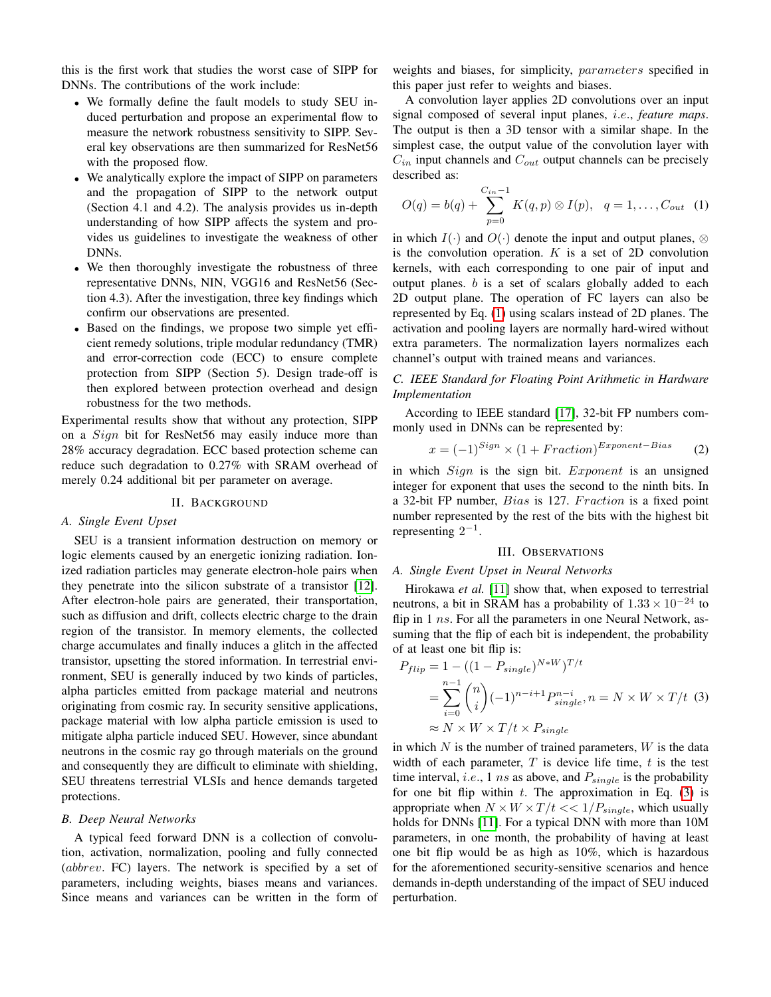this is the first work that studies the worst case of SIPP for DNNs. The contributions of the work include:

- We formally define the fault models to study SEU induced perturbation and propose an experimental flow to measure the network robustness sensitivity to SIPP. Several key observations are then summarized for ResNet56 with the proposed flow.
- We analytically explore the impact of SIPP on parameters and the propagation of SIPP to the network output (Section 4.1 and 4.2). The analysis provides us in-depth understanding of how SIPP affects the system and provides us guidelines to investigate the weakness of other DNNs.
- We then thoroughly investigate the robustness of three representative DNNs, NIN, VGG16 and ResNet56 (Section 4.3). After the investigation, three key findings which confirm our observations are presented.
- Based on the findings, we propose two simple yet efficient remedy solutions, triple modular redundancy (TMR) and error-correction code (ECC) to ensure complete protection from SIPP (Section 5). Design trade-off is then explored between protection overhead and design robustness for the two methods.

Experimental results show that without any protection, SIPP on a *Sign* bit for ResNet56 may easily induce more than 28% accuracy degradation. ECC based protection scheme can reduce such degradation to 0.27% with SRAM overhead of merely 0.24 additional bit per parameter on average.

# II. BACKGROUND

# *A. Single Event Upset*

SEU is a transient information destruction on memory or logic elements caused by an energetic ionizing radiation. Ionized radiation particles may generate electron-hole pairs when they penetrate into the silicon substrate of a transistor [\[12\]](#page-6-10). After electron-hole pairs are generated, their transportation, such as diffusion and drift, collects electric charge to the drain region of the transistor. In memory elements, the collected charge accumulates and finally induces a glitch in the affected transistor, upsetting the stored information. In terrestrial environment, SEU is generally induced by two kinds of particles, alpha particles emitted from package material and neutrons originating from cosmic ray. In security sensitive applications, package material with low alpha particle emission is used to mitigate alpha particle induced SEU. However, since abundant neutrons in the cosmic ray go through materials on the ground and consequently they are difficult to eliminate with shielding, SEU threatens terrestrial VLSIs and hence demands targeted protections.

#### *B. Deep Neural Networks*

A typical feed forward DNN is a collection of convolution, activation, normalization, pooling and fully connected (abbrev. FC) layers. The network is specified by a set of parameters, including weights, biases means and variances. Since means and variances can be written in the form of weights and biases, for simplicity, parameters specified in this paper just refer to weights and biases.

A convolution layer applies 2D convolutions over an input signal composed of several input planes, i.e., *feature maps*. The output is then a 3D tensor with a similar shape. In the simplest case, the output value of the convolution layer with  $C_{in}$  input channels and  $C_{out}$  output channels can be precisely described as:

<span id="page-1-0"></span>
$$
O(q) = b(q) + \sum_{p=0}^{C_{in}-1} K(q, p) \otimes I(p), \quad q = 1, ..., C_{out} \quad (1)
$$

in which  $I(\cdot)$  and  $O(\cdot)$  denote the input and output planes,  $\otimes$ is the convolution operation.  $K$  is a set of 2D convolution kernels, with each corresponding to one pair of input and output planes. b is a set of scalars globally added to each 2D output plane. The operation of FC layers can also be represented by Eq. [\(1\)](#page-1-0) using scalars instead of 2D planes. The activation and pooling layers are normally hard-wired without extra parameters. The normalization layers normalizes each channel's output with trained means and variances.

# *C. IEEE Standard for Floating Point Arithmetic in Hardware Implementation*

According to IEEE standard [\[17\]](#page-6-15), 32-bit FP numbers commonly used in DNNs can be represented by:

$$
x = (-1)^{Sign} \times (1 + Fraction)^{Exponent-Bias}
$$
 (2)

in which Sign is the sign bit. Exponent is an unsigned integer for exponent that uses the second to the ninth bits. In a 32-bit FP number, *Bias* is 127. *Fraction* is a fixed point number represented by the rest of the bits with the highest bit representing  $2^{-1}$ .

#### III. OBSERVATIONS

#### <span id="page-1-2"></span>*A. Single Event Upset in Neural Networks*

Hirokawa et al. [\[11\]](#page-6-9) show that, when exposed to terrestrial neutrons, a bit in SRAM has a probability of  $1.33 \times 10^{-24}$  to flip in  $1 \text{ ns}$ . For all the parameters in one Neural Network, assuming that the flip of each bit is independent, the probability of at least one bit flip is:

<span id="page-1-1"></span>
$$
P_{flip} = 1 - ((1 - P_{single})^{N*W})^{T/t}
$$
  
= 
$$
\sum_{i=0}^{n-1} {n \choose i} (-1)^{n-i+1} P_{single}^{n-i}, n = N \times W \times T/t
$$
 (3)  

$$
\approx N \times W \times T/t \times P_{single}
$$

in which  $N$  is the number of trained parameters,  $W$  is the data width of each parameter,  $T$  is device life time,  $t$  is the test time interval, *i.e.*, 1 ns as above, and  $P_{single}$  is the probability for one bit flip within  $t$ . The approximation in Eq. [\(3\)](#page-1-1) is appropriate when  $N \times W \times T/t \ll 1/P_{single}$ , which usually holds for DNNs [\[11\]](#page-6-9). For a typical DNN with more than 10M parameters, in one month, the probability of having at least one bit flip would be as high as 10%, which is hazardous for the aforementioned security-sensitive scenarios and hence demands in-depth understanding of the impact of SEU induced perturbation.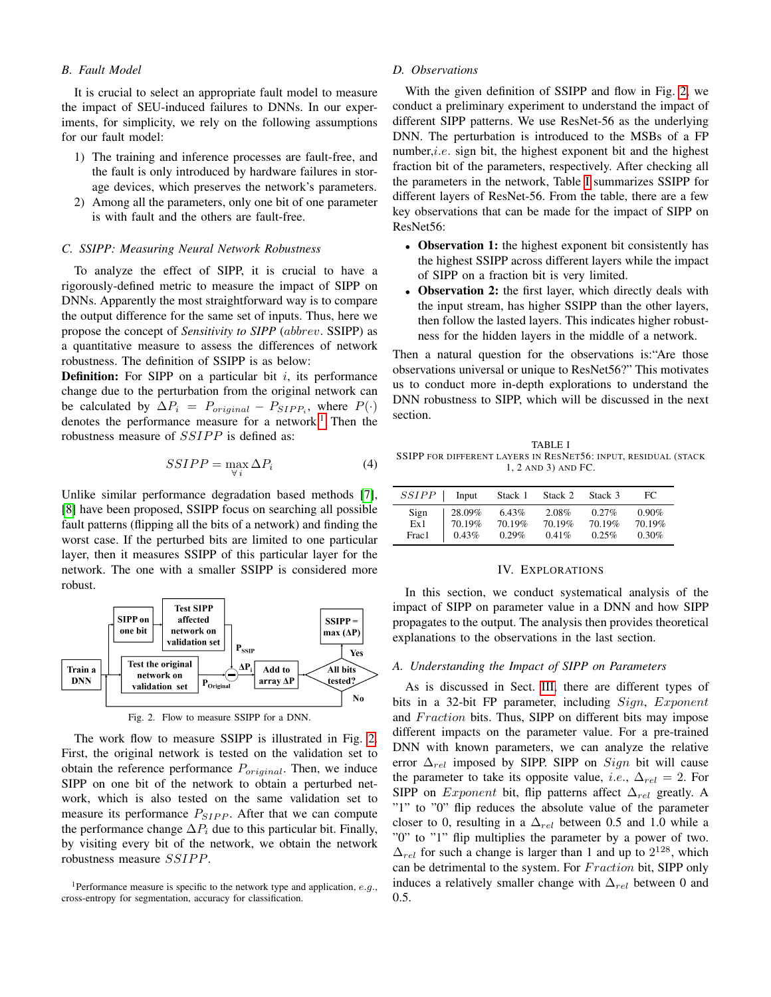# *B. Fault Model*

It is crucial to select an appropriate fault model to measure the impact of SEU-induced failures to DNNs. In our experiments, for simplicity, we rely on the following assumptions for our fault model:

- 1) The training and inference processes are fault-free, and the fault is only introduced by hardware failures in storage devices, which preserves the network's parameters.
- 2) Among all the parameters, only one bit of one parameter is with fault and the others are fault-free.

# *C. SSIPP: Measuring Neural Network Robustness*

To analyze the effect of SIPP, it is crucial to have a rigorously-defined metric to measure the impact of SIPP on DNNs. Apparently the most straightforward way is to compare the output difference for the same set of inputs. Thus, here we propose the concept of *Sensitivity to SIPP* (abbrev. SSIPP) as a quantitative measure to assess the differences of network robustness. The definition of SSIPP is as below:

**Definition:** For SIPP on a particular bit  $i$ , its performance change due to the perturbation from the original network can be calculated by  $\Delta P_i = P_{original} - P_{SIPP_i}$ , where  $P(\cdot)$ denotes the performance measure for a network.<sup>[1](#page-2-0)</sup> Then the robustness measure of SSIPP is defined as:

$$
SSIPP = \max_{\forall i} \Delta P_i \tag{4}
$$

Unlike similar performance degradation based methods [\[7\]](#page-6-6), [\[8\]](#page-6-16) have been proposed, SSIPP focus on searching all possible fault patterns (flipping all the bits of a network) and finding the worst case. If the perturbed bits are limited to one particular layer, then it measures SSIPP of this particular layer for the network. The one with a smaller SSIPP is considered more robust.



<span id="page-2-1"></span>Fig. 2. Flow to measure SSIPP for a DNN.

The work flow to measure SSIPP is illustrated in Fig. [2.](#page-2-1) First, the original network is tested on the validation set to obtain the reference performance  $P_{original}$ . Then, we induce SIPP on one bit of the network to obtain a perturbed network, which is also tested on the same validation set to measure its performance  $P_{SIPP}$ . After that we can compute the performance change  $\Delta P_i$  due to this particular bit. Finally, by visiting every bit of the network, we obtain the network robustness measure SSIPP.

# *D. Observations*

With the given definition of SSIPP and flow in Fig. [2,](#page-2-1) we conduct a preliminary experiment to understand the impact of different SIPP patterns. We use ResNet-56 as the underlying DNN. The perturbation is introduced to the MSBs of a FP number, $i.e.$  sign bit, the highest exponent bit and the highest fraction bit of the parameters, respectively. After checking all the parameters in the network, Table [I](#page-2-2) summarizes SSIPP for different layers of ResNet-56. From the table, there are a few key observations that can be made for the impact of SIPP on ResNet56:

- Observation 1: the highest exponent bit consistently has the highest SSIPP across different layers while the impact of SIPP on a fraction bit is very limited.
- Observation 2: the first layer, which directly deals with the input stream, has higher SSIPP than the other layers, then follow the lasted layers. This indicates higher robustness for the hidden layers in the middle of a network.

Then a natural question for the observations is:"Are those observations universal or unique to ResNet56?" This motivates us to conduct more in-depth explorations to understand the DNN robustness to SIPP, which will be discussed in the next section.

<span id="page-2-2"></span>TABLE I SSIPP FOR DIFFERENT LAYERS IN RESNET56: INPUT, RESIDUAL (STACK 1, 2 AND 3) AND FC.

| <i>SSIPP</i> | Input  | Stack 1 | Stack 2 | Stack 3 | FC.      |
|--------------|--------|---------|---------|---------|----------|
| Sign         | 28.09% | 6.43%   | 2.08%   | 0.27%   | $0.90\%$ |
| Ex1          | 70.19% | 70.19%  | 70.19%  | 70.19%  | 70.19%   |
| Frac1        | 0.43%  | 0.29%   | 0.41%   | 0.25%   | 0.30%    |

#### IV. EXPLORATIONS

In this section, we conduct systematical analysis of the impact of SIPP on parameter value in a DNN and how SIPP propagates to the output. The analysis then provides theoretical explanations to the observations in the last section.

#### *A. Understanding the Impact of SIPP on Parameters*

As is discussed in Sect. [III,](#page-1-2) there are different types of bits in a 32-bit FP parameter, including *Sign*, *Exponent* and *Fraction* bits. Thus, SIPP on different bits may impose different impacts on the parameter value. For a pre-trained DNN with known parameters, we can analyze the relative error  $\Delta_{rel}$  imposed by SIPP. SIPP on Sign bit will cause the parameter to take its opposite value, *i.e.*,  $\Delta_{rel} = 2$ . For SIPP on *Exponent* bit, flip patterns affect  $\Delta_{rel}$  greatly. A "1" to "0" flip reduces the absolute value of the parameter closer to 0, resulting in a  $\Delta_{rel}$  between 0.5 and 1.0 while a "0" to "1" flip multiplies the parameter by a power of two.  $\Delta_{rel}$  for such a change is larger than 1 and up to  $2^{128}$ , which can be detrimental to the system. For Fraction bit, SIPP only induces a relatively smaller change with  $\Delta_{rel}$  between 0 and 0.5.

<span id="page-2-0"></span><sup>&</sup>lt;sup>1</sup>Performance measure is specific to the network type and application,  $e.g.,$ cross-entropy for segmentation, accuracy for classification.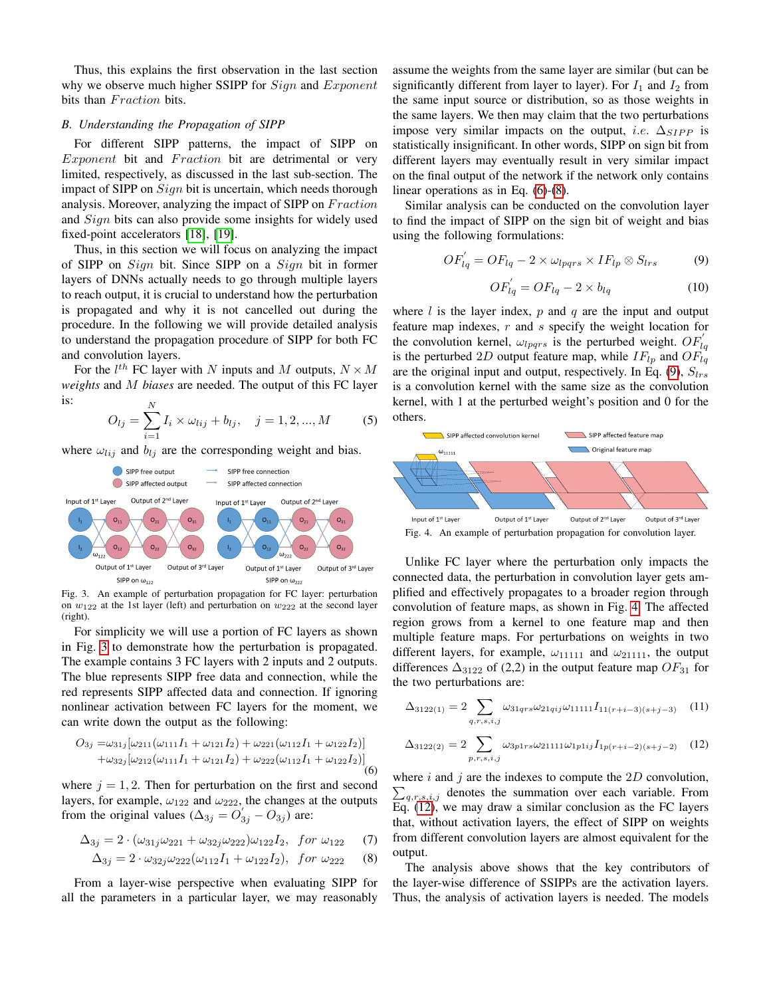Thus, this explains the first observation in the last section why we observe much higher SSIPP for  $Sign$  and  $Exponent$ bits than Fraction bits.

# *B. Understanding the Propagation of SIPP*

For different SIPP patterns, the impact of SIPP on  $Exponent$  bit and  $Fraction$  bit are detrimental or very limited, respectively, as discussed in the last sub-section. The impact of SIPP on  $Sign$  bit is uncertain, which needs thorough analysis. Moreover, analyzing the impact of SIPP on Fraction and *Sign* bits can also provide some insights for widely used fixed-point accelerators [\[18\]](#page-6-17), [\[19\]](#page-6-18).

Thus, in this section we will focus on analyzing the impact of SIPP on Sign bit. Since SIPP on a Sign bit in former layers of DNNs actually needs to go through multiple layers to reach output, it is crucial to understand how the perturbation is propagated and why it is not cancelled out during the procedure. In the following we will provide detailed analysis to understand the propagation procedure of SIPP for both FC and convolution layers.

For the  $l^{th}$  FC layer with N inputs and M outputs,  $N \times M$ *weights* and M *biases* are needed. The output of this FC layer is:

$$
O_{lj} = \sum_{i=1}^{N} I_i \times \omega_{lij} + b_{lj}, \quad j = 1, 2, ..., M
$$
 (5)

where  $\omega_{lij}$  and  $b_{lj}$  are the corresponding weight and bias.



<span id="page-3-0"></span>Fig. 3. An example of perturbation propagation for FC layer: perturbation on  $w_{122}$  at the 1st layer (left) and perturbation on  $w_{222}$  at the second layer (right).

For simplicity we will use a portion of FC layers as shown in Fig. [3](#page-3-0) to demonstrate how the perturbation is propagated. The example contains 3 FC layers with 2 inputs and 2 outputs. The blue represents SIPP free data and connection, while the red represents SIPP affected data and connection. If ignoring nonlinear activation between FC layers for the moment, we can write down the output as the following:

<span id="page-3-1"></span>
$$
O_{3j} = \omega_{31j} [\omega_{211}(\omega_{111}I_1 + \omega_{121}I_2) + \omega_{221}(\omega_{112}I_1 + \omega_{122}I_2)] + \omega_{32j} [\omega_{212}(\omega_{111}I_1 + \omega_{121}I_2) + \omega_{222}(\omega_{112}I_1 + \omega_{122}I_2)]
$$
\n(6)

where  $j = 1, 2$ . Then for perturbation on the first and second layers, for example,  $\omega_{122}$  and  $\omega_{222}$ , the changes at the outputs from the original values  $(\Delta_{3j} = O'_{3j} - O_{3j})$  are:

$$
\Delta_{3j} = 2 \cdot (\omega_{31j}\omega_{221} + \omega_{32j}\omega_{222})\omega_{122}I_2, \text{ for } \omega_{122} \quad (7)
$$

$$
\Delta_{3j} = 2 \cdot \omega_{32j} \omega_{222} (\omega_{112} I_1 + \omega_{122} I_2), \text{ for } \omega_{222} \quad (8)
$$

From a layer-wise perspective when evaluating SIPP for all the parameters in a particular layer, we may reasonably

assume the weights from the same layer are similar (but can be significantly different from layer to layer). For  $I_1$  and  $I_2$  from the same input source or distribution, so as those weights in the same layers. We then may claim that the two perturbations impose very similar impacts on the output, *i.e.*  $\Delta_{SIPP}$  is statistically insignificant. In other words, SIPP on sign bit from different layers may eventually result in very similar impact on the final output of the network if the network only contains linear operations as in Eq. [\(6\)](#page-3-1)-[\(8\)](#page-3-2).

Similar analysis can be conducted on the convolution layer to find the impact of SIPP on the sign bit of weight and bias using the following formulations:

<span id="page-3-3"></span>
$$
OF'_{lq} = OF_{lq} - 2 \times \omega_{lpqrs} \times IF_{lp} \otimes S_{lrs}
$$
 (9)

$$
OF'_{lq} = OF_{lq} - 2 \times b_{lq} \tag{10}
$$

where  $l$  is the layer index,  $p$  and  $q$  are the input and output feature map indexes, r and s specify the weight location for the convolution kernel,  $\omega_{lpqrs}$  is the perturbed weight.  $OF'_{lq}$ is the perturbed 2D output feature map, while  $IF_{lp}$  and  $OF_{lq}$ are the original input and output, respectively. In Eq. [\(9\)](#page-3-3),  $S_{lrs}$ is a convolution kernel with the same size as the convolution kernel, with 1 at the perturbed weight's position and 0 for the others.



<span id="page-3-4"></span>Fig. 4. An example of perturbation propagation for convolution layer.

Unlike FC layer where the perturbation only impacts the connected data, the perturbation in convolution layer gets amplified and effectively propagates to a broader region through convolution of feature maps, as shown in Fig. [4.](#page-3-4) The affected region grows from a kernel to one feature map and then multiple feature maps. For perturbations on weights in two different layers, for example,  $\omega_{11111}$  and  $\omega_{21111}$ , the output differences  $\Delta_{3122}$  of (2,2) in the output feature map  $OF_{31}$  for the two perturbations are:

$$
\Delta_{3122(1)} = 2 \sum_{q,r,s,i,j} \omega_{31qrs} \omega_{21qij} \omega_{11111} I_{11(r+i-3)(s+j-3)} \quad (11)
$$

<span id="page-3-5"></span>
$$
\Delta_{3122(2)} = 2 \sum_{p,r,s,i,j} \omega_{3p1rs} \omega_{21111} \omega_{1p1ij} I_{1p(r+i-2)(s+j-2)} \quad (12)
$$

where  $i$  and  $j$  are the indexes to compute the  $2D$  convolution,  $\sum_{q,r,s,i,j}$  denotes the summation over each variable. From Eq. [\(12\)](#page-3-5), we may draw a similar conclusion as the FC layers that, without activation layers, the effect of SIPP on weights from different convolution layers are almost equivalent for the output.

<span id="page-3-2"></span>The analysis above shows that the key contributors of the layer-wise difference of SSIPPs are the activation layers. Thus, the analysis of activation layers is needed. The models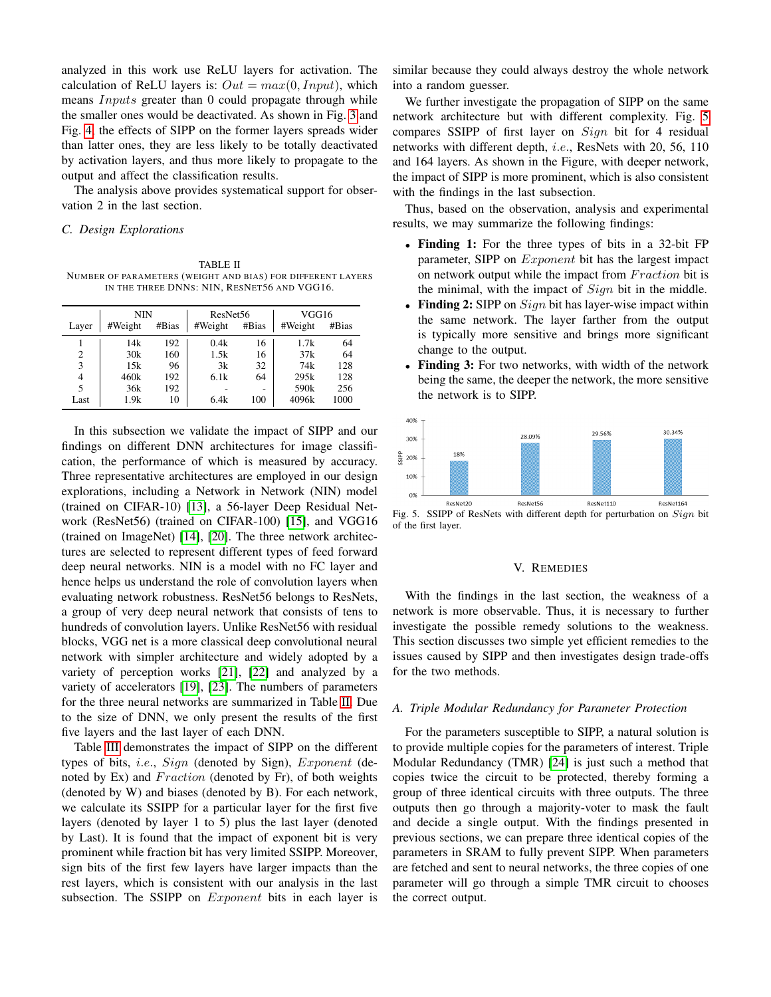analyzed in this work use ReLU layers for activation. The calculation of ReLU layers is:  $Out = max(0, Input)$ , which means *Inputs* greater than 0 could propagate through while the smaller ones would be deactivated. As shown in Fig. [3](#page-3-0) and Fig. [4,](#page-3-4) the effects of SIPP on the former layers spreads wider than latter ones, they are less likely to be totally deactivated by activation layers, and thus more likely to propagate to the output and affect the classification results.

The analysis above provides systematical support for observation 2 in the last section.

# *C. Design Explorations*

<span id="page-4-0"></span>TABLE II NUMBER OF PARAMETERS (WEIGHT AND BIAS) FOR DIFFERENT LAYERS IN THE THREE DNNS: NIN, RESNET56 AND VGG16.

|                | <b>NIN</b> |       | ResNet <sub>56</sub> |       | VGG16            |       |  |  |
|----------------|------------|-------|----------------------|-------|------------------|-------|--|--|
| Layer          | #Weight    | #Bias | #Weight              | #Bias | #Weight          | #Bias |  |  |
|                | 14k        | 192   | 0.4k                 | 16    | 1.7k             | 64    |  |  |
| $\overline{c}$ | 30k        | 160   | 1.5k                 | 16    | 37k              | 64    |  |  |
| 3              | 15k        | 96    | 3k                   | 32    | 74k              | 128   |  |  |
| $\overline{4}$ | 460k       | 192   | 6.1k                 | 64    | 295k             | 128   |  |  |
| 5              | 36k        | 192   |                      | -     | 590 <sub>k</sub> | 256   |  |  |
| Last           | 1.9k       | 10    | 6.4k                 | 100   | 4096k            | 1000  |  |  |

In this subsection we validate the impact of SIPP and our findings on different DNN architectures for image classification, the performance of which is measured by accuracy. Three representative architectures are employed in our design explorations, including a Network in Network (NIN) model (trained on CIFAR-10) [\[13\]](#page-6-11), a 56-layer Deep Residual Network (ResNet56) (trained on CIFAR-100) [\[15\]](#page-6-13), and VGG16 (trained on ImageNet) [\[14\]](#page-6-12), [\[20\]](#page-6-19). The three network architectures are selected to represent different types of feed forward deep neural networks. NIN is a model with no FC layer and hence helps us understand the role of convolution layers when evaluating network robustness. ResNet56 belongs to ResNets, a group of very deep neural network that consists of tens to hundreds of convolution layers. Unlike ResNet56 with residual blocks, VGG net is a more classical deep convolutional neural network with simpler architecture and widely adopted by a variety of perception works [\[21\]](#page-6-20), [\[22\]](#page-6-21) and analyzed by a variety of accelerators [\[19\]](#page-6-18), [\[23\]](#page-6-22). The numbers of parameters for the three neural networks are summarized in Table [II.](#page-4-0) Due to the size of DNN, we only present the results of the first five layers and the last layer of each DNN.

Table [III](#page-5-0) demonstrates the impact of SIPP on the different types of bits, i.e., Sign (denoted by Sign), Exponent (denoted by Ex) and *Fraction* (denoted by Fr), of both weights (denoted by W) and biases (denoted by B). For each network, we calculate its SSIPP for a particular layer for the first five layers (denoted by layer 1 to 5) plus the last layer (denoted by Last). It is found that the impact of exponent bit is very prominent while fraction bit has very limited SSIPP. Moreover, sign bits of the first few layers have larger impacts than the rest layers, which is consistent with our analysis in the last subsection. The SSIPP on *Exponent* bits in each layer is

similar because they could always destroy the whole network into a random guesser.

We further investigate the propagation of SIPP on the same network architecture but with different complexity. Fig. [5](#page-4-1) compares SSIPP of first layer on Sign bit for 4 residual networks with different depth, i.e., ResNets with 20, 56, 110 and 164 layers. As shown in the Figure, with deeper network, the impact of SIPP is more prominent, which is also consistent with the findings in the last subsection.

Thus, based on the observation, analysis and experimental results, we may summarize the following findings:

- Finding 1: For the three types of bits in a 32-bit FP parameter, SIPP on *Exponent* bit has the largest impact on network output while the impact from Fraction bit is the minimal, with the impact of  $Sign$  bit in the middle.
- Finding 2: SIPP on  $Sign$  bit has layer-wise impact within the same network. The layer farther from the output is typically more sensitive and brings more significant change to the output.
- Finding 3: For two networks, with width of the network being the same, the deeper the network, the more sensitive the network is to SIPP.



<span id="page-4-1"></span>Fig. 5. SSIPP of ResNets with different depth for perturbation on Sign bit of the first layer.

# V. REMEDIES

With the findings in the last section, the weakness of a network is more observable. Thus, it is necessary to further investigate the possible remedy solutions to the weakness. This section discusses two simple yet efficient remedies to the issues caused by SIPP and then investigates design trade-offs for the two methods.

# *A. Triple Modular Redundancy for Parameter Protection*

For the parameters susceptible to SIPP, a natural solution is to provide multiple copies for the parameters of interest. Triple Modular Redundancy (TMR) [\[24\]](#page-6-23) is just such a method that copies twice the circuit to be protected, thereby forming a group of three identical circuits with three outputs. The three outputs then go through a majority-voter to mask the fault and decide a single output. With the findings presented in previous sections, we can prepare three identical copies of the parameters in SRAM to fully prevent SIPP. When parameters are fetched and sent to neural networks, the three copies of one parameter will go through a simple TMR circuit to chooses the correct output.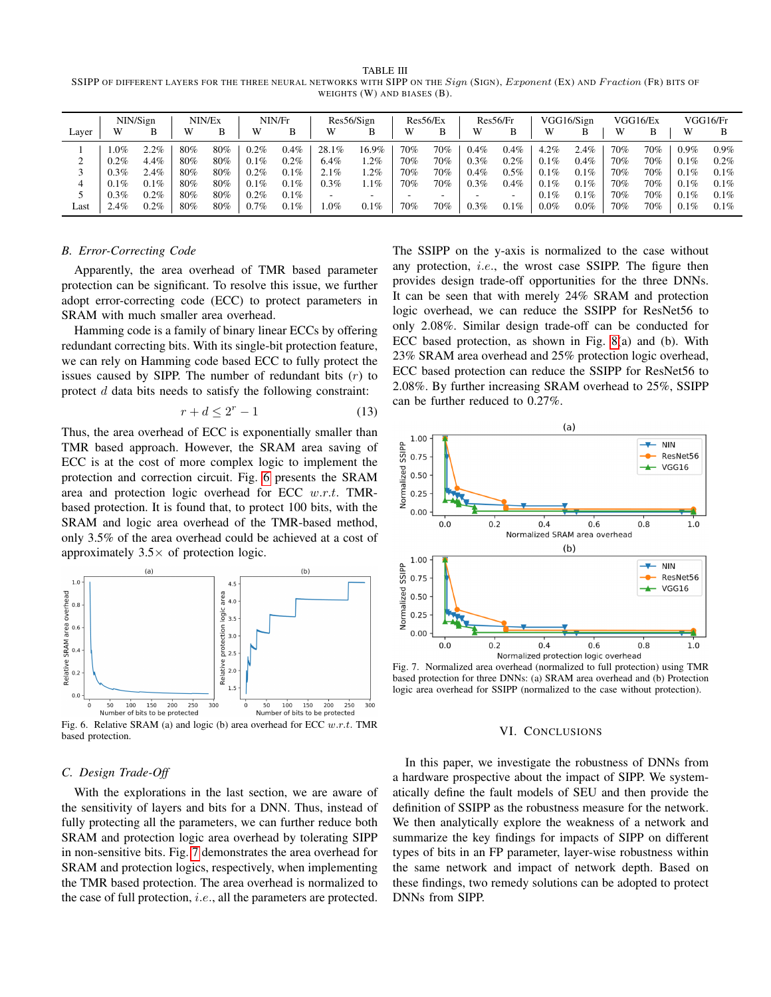<span id="page-5-0"></span>TABLE III SSIPP OF DIFFERENT LAYERS FOR THE THREE NEURAL NETWORKS WITH SIPP ON THE Sign (SIGN), Exponent (EX) AND Fraction (FR) BITS OF WEIGHTS (W) AND BIASES (B).

|       | NIN/Sign |         | NIN/Ex |     | NIN/Fr  |         | Res56/Sign |        | Res56/Ex |     | Res56/Fr |         | VGG16/Sign |         | VGG16/Ex |     | VGG16/Fr |         |
|-------|----------|---------|--------|-----|---------|---------|------------|--------|----------|-----|----------|---------|------------|---------|----------|-----|----------|---------|
| Layer | W        | в       | W      | B   | W       | В       | W          | В      | W        | B   | W        | B       | W          | B       | W        | B   | W        | B       |
|       | $.0\%$   | 2.2%    | 80%    | 80% | 0.2%    | $0.4\%$ | 28.1%      | 16.9%  | 70%      | 70% | 0.4%     | $0.4\%$ | 4.2%       | 2.4%    | 70%      | 70% | $0.9\%$  | $0.9\%$ |
| ◠     | 0.2%     | 4.4%    | 80%    | 80% | 0.1%    | $0.2\%$ | 6.4%       | $.2\%$ | 70%      | 70% | 0.3%     | $0.2\%$ | $0.1\%$    | 0.4%    | 70%      | 70% | 0.1%     | $0.2\%$ |
|       | 0.3%     | 2.4%    | 80%    | 80% | 0.2%    | 0.1%    | 2.1%       | $.2\%$ | 70%      | 70% | 0.4%     | $0.5\%$ | 0.1%       | 0.1%    | 70%      | 70% | 0.1%     | 0.1%    |
|       | 0.1%     | $0.1\%$ | 80%    | 80% | 0.1%    | 0.1%    | $0.3\%$    | $.1\%$ | 70%      | 70% | 0.3%     | $0.4\%$ | 0.1%       | 0.1%    | 70%      | 70% | 0.1%     | 0.1%    |
|       | 0.3%     | 0.2%    | 80%    | 80% | $0.2\%$ | $0.1\%$ |            |        | -        | -   |          |         | 0.1%       | 0.1%    | 70%      | 70% | 0.1%     | 0.1%    |
| Last  | $2.4\%$  | $0.2\%$ | 80%    | 80% | 0.7%    | $0.1\%$ | $.0\%$     | 0.1%   | 70%      | 70% | 0.3%     | $0.1\%$ | $0.0\%$    | $0.0\%$ | 70%      | 70% | 0.1%     | 0.1%    |

#### *B. Error-Correcting Code*

Apparently, the area overhead of TMR based parameter protection can be significant. To resolve this issue, we further adopt error-correcting code (ECC) to protect parameters in SRAM with much smaller area overhead.

Hamming code is a family of binary linear ECCs by offering redundant correcting bits. With its single-bit protection feature, we can rely on Hamming code based ECC to fully protect the issues caused by SIPP. The number of redundant bits  $(r)$  to protect d data bits needs to satisfy the following constraint:

$$
r + d \le 2^r - 1\tag{13}
$$

Thus, the area overhead of ECC is exponentially smaller than TMR based approach. However, the SRAM area saving of ECC is at the cost of more complex logic to implement the protection and correction circuit. Fig. [6](#page-5-1) presents the SRAM area and protection logic overhead for ECC w.r.t. TMRbased protection. It is found that, to protect 100 bits, with the SRAM and logic area overhead of the TMR-based method, only 3.5% of the area overhead could be achieved at a cost of approximately  $3.5 \times$  of protection logic.



<span id="page-5-1"></span>Fig. 6. Relative SRAM (a) and logic (b) area overhead for ECC  $w.r.t.$  TMR based protection.

### *C. Design Trade-Off*

With the explorations in the last section, we are aware of the sensitivity of layers and bits for a DNN. Thus, instead of fully protecting all the parameters, we can further reduce both SRAM and protection logic area overhead by tolerating SIPP in non-sensitive bits. Fig. [7](#page-5-2) demonstrates the area overhead for SRAM and protection logics, respectively, when implementing the TMR based protection. The area overhead is normalized to the case of full protection, i.e., all the parameters are protected.

The SSIPP on the y-axis is normalized to the case without any protection, i.e., the wrost case SSIPP. The figure then provides design trade-off opportunities for the three DNNs. It can be seen that with merely 24% SRAM and protection logic overhead, we can reduce the SSIPP for ResNet56 to only 2.08%. Similar design trade-off can be conducted for ECC based protection, as shown in Fig. [8\(](#page-6-24)a) and (b). With 23% SRAM area overhead and 25% protection logic overhead, ECC based protection can reduce the SSIPP for ResNet56 to 2.08%. By further increasing SRAM overhead to 25%, SSIPP can be further reduced to 0.27%.



<span id="page-5-2"></span>Fig. 7. Normalized area overhead (normalized to full protection) using TMR based protection for three DNNs: (a) SRAM area overhead and (b) Protection logic area overhead for SSIPP (normalized to the case without protection).

#### VI. CONCLUSIONS

In this paper, we investigate the robustness of DNNs from a hardware prospective about the impact of SIPP. We systematically define the fault models of SEU and then provide the definition of SSIPP as the robustness measure for the network. We then analytically explore the weakness of a network and summarize the key findings for impacts of SIPP on different types of bits in an FP parameter, layer-wise robustness within the same network and impact of network depth. Based on these findings, two remedy solutions can be adopted to protect DNNs from SIPP.